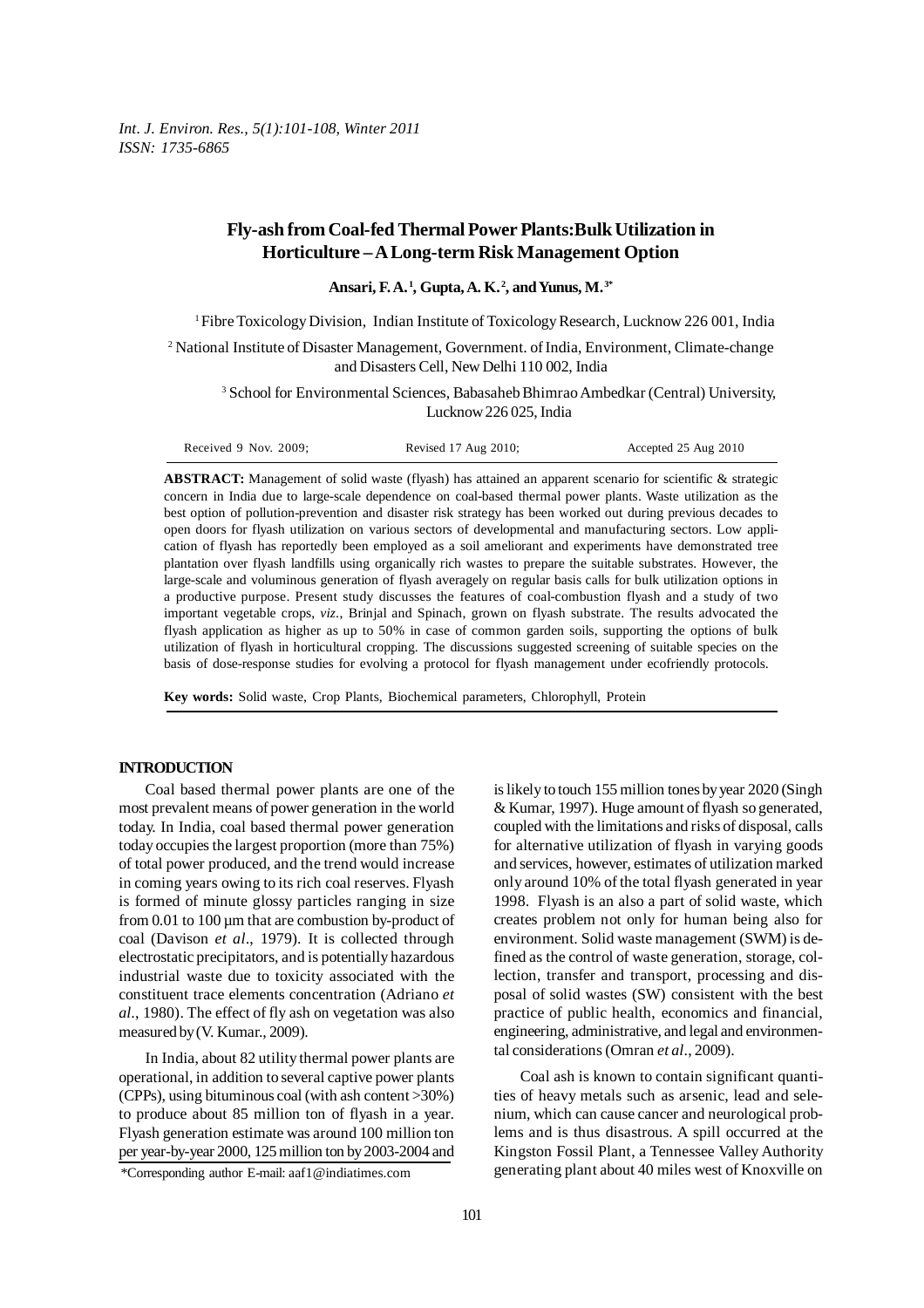*Int. J. Environ. Res., 5(1):101-108, Winter 2011 ISSN: 1735-6865*

# **Fly-ash from Coal-fed Thermal Power Plants:Bulk Utilization in Horticulture – A Long-term Risk Management Option**

**Ansari, F. A. 1, Gupta, A. K. 2, and Yunus, M. 3\***

1 Fibre Toxicology Division, Indian Institute of Toxicology Research, Lucknow 226 001, India

<sup>2</sup> National Institute of Disaster Management, Government. of India, Environment, Climate-change and Disasters Cell, New Delhi 110 002, India

3 School for Environmental Sciences, Babasaheb Bhimrao Ambedkar (Central) University, Lucknow 226 025, India

| Received 9 Nov. 2009; | Revised 17 Aug 2010; | Accepted 25 Aug 2010 |
|-----------------------|----------------------|----------------------|
|-----------------------|----------------------|----------------------|

**ABSTRACT:** Management of solid waste (flyash) has attained an apparent scenario for scientific & strategic concern in India due to large-scale dependence on coal-based thermal power plants. Waste utilization as the best option of pollution-prevention and disaster risk strategy has been worked out during previous decades to open doors for flyash utilization on various sectors of developmental and manufacturing sectors. Low application of flyash has reportedly been employed as a soil ameliorant and experiments have demonstrated tree plantation over flyash landfills using organically rich wastes to prepare the suitable substrates. However, the large-scale and voluminous generation of flyash averagely on regular basis calls for bulk utilization options in a productive purpose. Present study discusses the features of coal-combustion flyash and a study of two important vegetable crops, *viz*., Brinjal and Spinach, grown on flyash substrate. The results advocated the flyash application as higher as up to 50% in case of common garden soils, supporting the options of bulk utilization of flyash in horticultural cropping. The discussions suggested screening of suitable species on the basis of dose-response studies for evolving a protocol for flyash management under ecofriendly protocols.

**Key words:** Solid waste, Crop Plants, Biochemical parameters, Chlorophyll, Protein

# **INTRODUCTION**

Coal based thermal power plants are one of the most prevalent means of power generation in the world today. In India, coal based thermal power generation today occupies the largest proportion (more than 75%) of total power produced, and the trend would increase in coming years owing to its rich coal reserves. Flyash is formed of minute glossy particles ranging in size from 0.01 to 100 um that are combustion by-product of coal (Davison *et al*., 1979). It is collected through electrostatic precipitators, and is potentially hazardous industrial waste due to toxicity associated with the constituent trace elements concentration (Adriano *et al*., 1980). The effect of fly ash on vegetation was also measured by (V. Kumar., 2009).

In India, about 82 utility thermal power plants are operational, in addition to several captive power plants (CPPs), using bituminous coal (with ash content >30%) to produce about 85 million ton of flyash in a year. Flyash generation estimate was around 100 million ton per year-by-year 2000, 125 million ton by 2003-2004 and is likely to touch 155 million tones by year 2020 (Singh & Kumar, 1997). Huge amount of flyash so generated, coupled with the limitations and risks of disposal, calls for alternative utilization of flyash in varying goods and services, however, estimates of utilization marked only around 10% of the total flyash generated in year 1998. Flyash is an also a part of solid waste, which creates problem not only for human being also for environment. Solid waste management (SWM) is defined as the control of waste generation, storage, collection, transfer and transport, processing and disposal of solid wastes (SW) consistent with the best practice of public health, economics and financial, engineering, administrative, and legal and environmental considerations (Omran *et al*., 2009).

Coal ash is known to contain significant quantities of heavy metals such as arsenic, lead and selenium, which can cause cancer and neurological problems and is thus disastrous. A spill occurred at the Kingston Fossil Plant, a Tennessee Valley Authority generating plant about 40 miles west of Knoxville on

<sup>\*</sup>Corresponding author E-mail: aaf1@indiatimes.com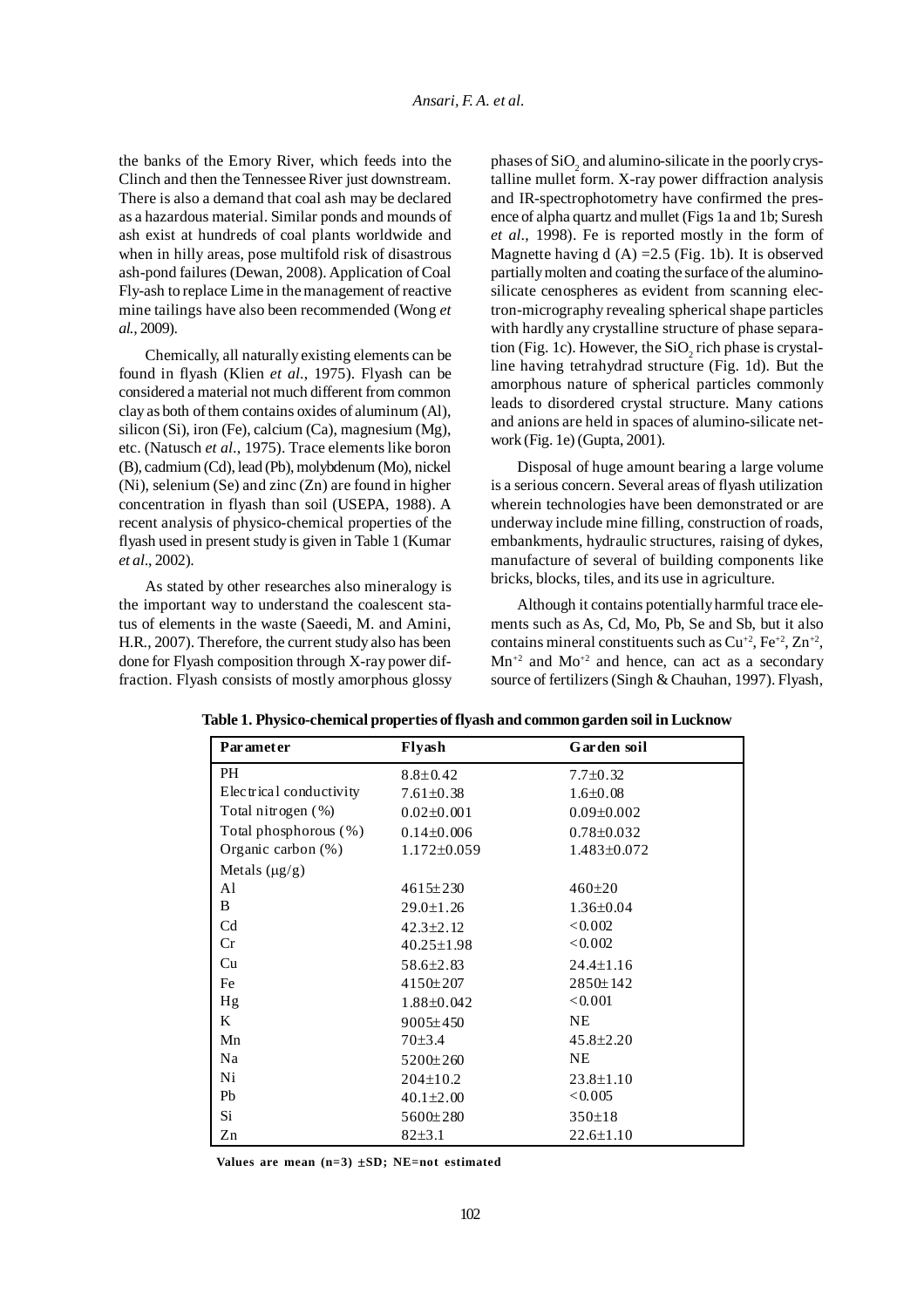the banks of the Emory River, which feeds into the Clinch and then the Tennessee River just downstream. There is also a demand that coal ash may be declared as a hazardous material. Similar ponds and mounds of ash exist at hundreds of coal plants worldwide and when in hilly areas, pose multifold risk of disastrous ash-pond failures (Dewan, 2008). Application of Coal Fly-ash to replace Lime in the management of reactive mine tailings have also been recommended (Wong *et al.,* 2009).

Chemically, all naturally existing elements can be found in flyash (Klien *et al*., 1975). Flyash can be considered a material not much different from common clay as both of them contains oxides of aluminum (Al), silicon (Si), iron (Fe), calcium (Ca), magnesium (Mg), etc. (Natusch *et al*., 1975). Trace elements like boron (B), cadmium (Cd), lead (Pb), molybdenum (Mo), nickel (Ni), selenium (Se) and zinc (Zn) are found in higher concentration in flyash than soil (USEPA, 1988). A recent analysis of physico-chemical properties of the flyash used in present study is given in Table 1 (Kumar *et al*., 2002).

As stated by other researches also mineralogy is the important way to understand the coalescent status of elements in the waste (Saeedi, M. and Amini, H.R., 2007). Therefore, the current study also has been done for Flyash composition through X-ray power diffraction. Flyash consists of mostly amorphous glossy

phases of  $\rm SiO_2$  and alumino-silicate in the poorly crystalline mullet form. X-ray power diffraction analysis and IR-spectrophotometry have confirmed the presence of alpha quartz and mullet (Figs 1a and 1b; Suresh *et al*., 1998). Fe is reported mostly in the form of Magnette having d  $(A) = 2.5$  (Fig. 1b). It is observed partially molten and coating the surface of the aluminosilicate cenospheres as evident from scanning electron-micrography revealing spherical shape particles with hardly any crystalline structure of phase separation (Fig. 1c). However, the  $\rm SiO_{2}$  rich phase is crystalline having tetrahydrad structure (Fig. 1d). But the amorphous nature of spherical particles commonly leads to disordered crystal structure. Many cations and anions are held in spaces of alumino-silicate network (Fig. 1e) (Gupta, 2001).

Disposal of huge amount bearing a large volume is a serious concern. Several areas of flyash utilization wherein technologies have been demonstrated or are underway include mine filling, construction of roads, embankments, hydraulic structures, raising of dykes, manufacture of several of building components like bricks, blocks, tiles, and its use in agriculture.

Although it contains potentially harmful trace elements such as As, Cd, Mo, Pb, Se and Sb, but it also contains mineral constituents such as  $Cu^{+2}$ ,  $Fe^{+2}$ ,  $Zn^{+2}$ ,  $Mn^{2}$  and  $Mo^{2}$  and hence, can act as a secondary source of fertilizers (Singh & Chauhan, 1997). Flyash,

| Parameter               | Flyash            | Garden soil      |
|-------------------------|-------------------|------------------|
| <b>PH</b>               | $8.8 \pm 0.42$    | $7.7 \pm 0.32$   |
| Electrical conductivity | $7.61 \pm 0.38$   | $1.6 \pm 0.08$   |
| Total nitrogen $(\%)$   | $0.02 \pm 0.001$  | $0.09 \pm 0.002$ |
| Total phosphorous (%)   | $0.14 \pm 0.006$  | $0.78 \pm 0.032$ |
| Organic carbon $(\%)$   | $1.172 \pm 0.059$ | 1.483±0.072      |
| Metals $(\mu g/g)$      |                   |                  |
| Al                      | $4615 \pm 230$    | 460±20           |
| B                       | $29.0 \pm 1.26$   | $1.36 \pm 0.04$  |
| C <sub>d</sub>          | $42.3 \pm 2.12$   | < 0.002          |
| Cr                      | $40.25 \pm 1.98$  | < 0.002          |
| Cu                      | 58.6±2.83         | $24.4 \pm 1.16$  |
| Fe                      | 4150±207          | 2850±142         |
| Hg                      | 1.88±0.042        | < 0.001          |
| K                       | $9005 \pm 450$    | NE.              |
| Mn                      | 70±3.4            | $45.8 \pm 2.20$  |
| Na                      | 5200±260          | <b>NE</b>        |
| Ni                      | $204 \pm 10.2$    | $23.8 \pm 1.10$  |
| Pb                      | $40.1 \pm 2.00$   | < 0.005          |
| Si                      | 5600±280          | $350 \pm 18$     |
| Zn                      | 82±3.1            | $22.6 \pm 1.10$  |

**Table 1. Physico-chemical properties of flyash and common garden soil in Lucknow**

**Values are mean (n=3)** ±**SD; NE=not estimated**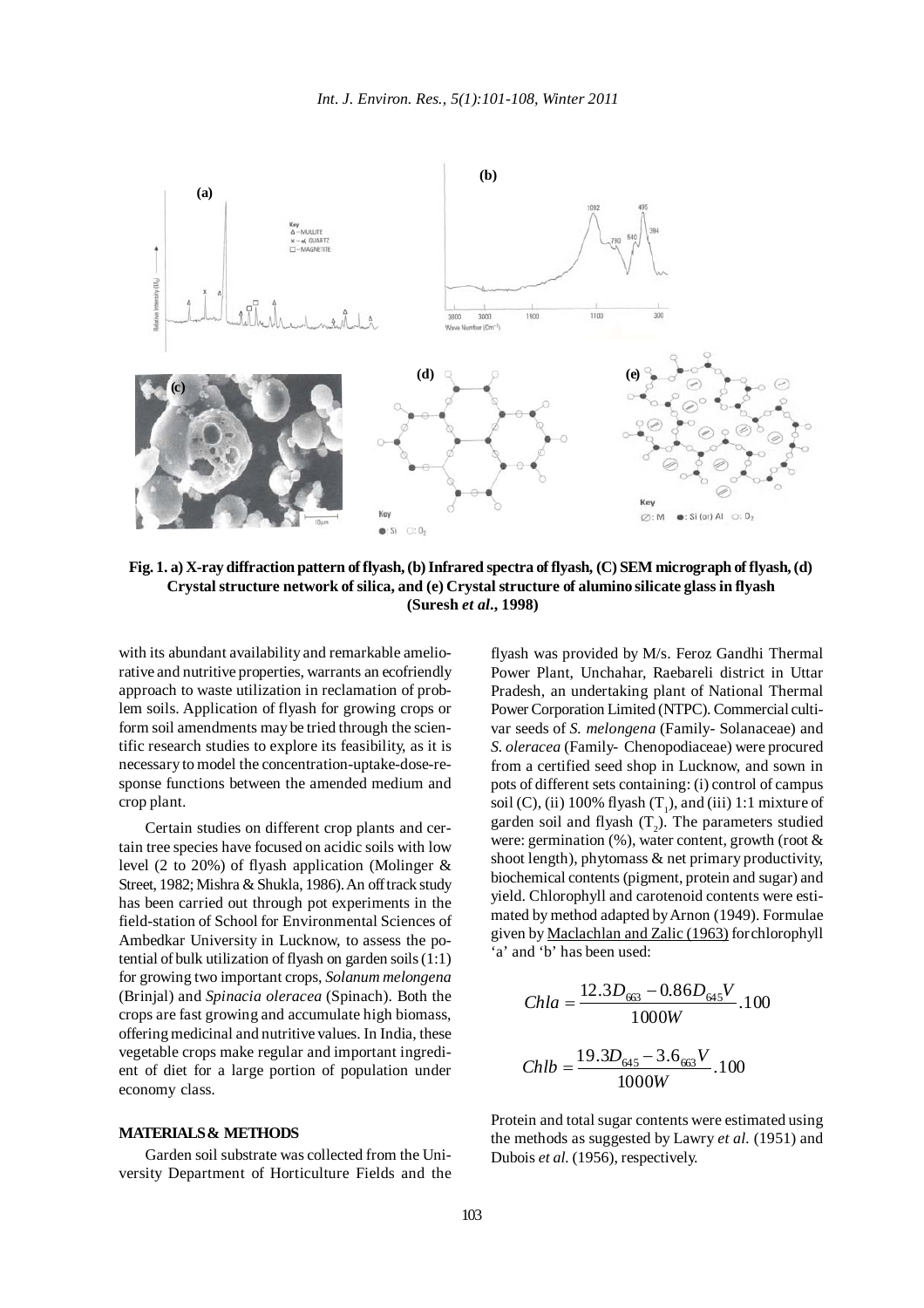

**Fig. 1. a) X-ray diffraction pattern of flyash, (b) Infrared spectra of flyash, (C) SEM micrograph of flyash, (d) Crystal structure network of silica, and (e) Crystal structure of alumino silicate glass in flyash (Suresh** *et al***., 1998)**

with its abundant availability and remarkable ameliorative and nutritive properties, warrants an ecofriendly approach to waste utilization in reclamation of problem soils. Application of flyash for growing crops or form soil amendments may be tried through the scientific research studies to explore its feasibility, as it is necessary to model the concentration-uptake-dose-response functions between the amended medium and crop plant.

Certain studies on different crop plants and certain tree species have focused on acidic soils with low level (2 to 20%) of flyash application (Molinger & Street, 1982; Mishra & Shukla, 1986). An off track study has been carried out through pot experiments in the field-station of School for Environmental Sciences of Ambedkar University in Lucknow, to assess the potential of bulk utilization of flyash on garden soils (1:1) for growing two important crops, *Solanum melongena* (Brinjal) and *Spinacia oleracea* (Spinach). Both the crops are fast growing and accumulate high biomass, offering medicinal and nutritive values. In India, these vegetable crops make regular and important ingredient of diet for a large portion of population under economy class.

# **MATERIALS & METHODS**

Garden soil substrate was collected from the University Department of Horticulture Fields and the flyash was provided by M/s. Feroz Gandhi Thermal Power Plant, Unchahar, Raebareli district in Uttar Pradesh, an undertaking plant of National Thermal Power Corporation Limited (NTPC). Commercial cultivar seeds of *S. melongena* (Family- Solanaceae) and *S. oleracea* (Family- Chenopodiaceae) were procured from a certified seed shop in Lucknow, and sown in pots of different sets containing: (i) control of campus soil (C), (ii) 100% flyash  $(T_1)$ , and (iii) 1:1 mixture of garden soil and flyash  $(T_2)$ . The parameters studied were: germination (%), water content, growth (root & shoot length), phytomass & net primary productivity, biochemical contents (pigment, protein and sugar) and yield. Chlorophyll and carotenoid contents were estimated by method adapted by Arnon (1949). Formulae given by Maclachlan and Zalic (1963) forchlorophyll 'a' and 'b' has been used:

$$
Chla = \frac{12.3D_{63} - 0.86D_{645}V}{1000W} \cdot 100
$$

$$
Chlb = \frac{19.3D_{645} - 3.6_{63}V}{1000W} \cdot 100
$$

Protein and total sugar contents were estimated using the methods as suggested by Lawry *et al.* (1951) and Dubois *et al.* (1956), respectively.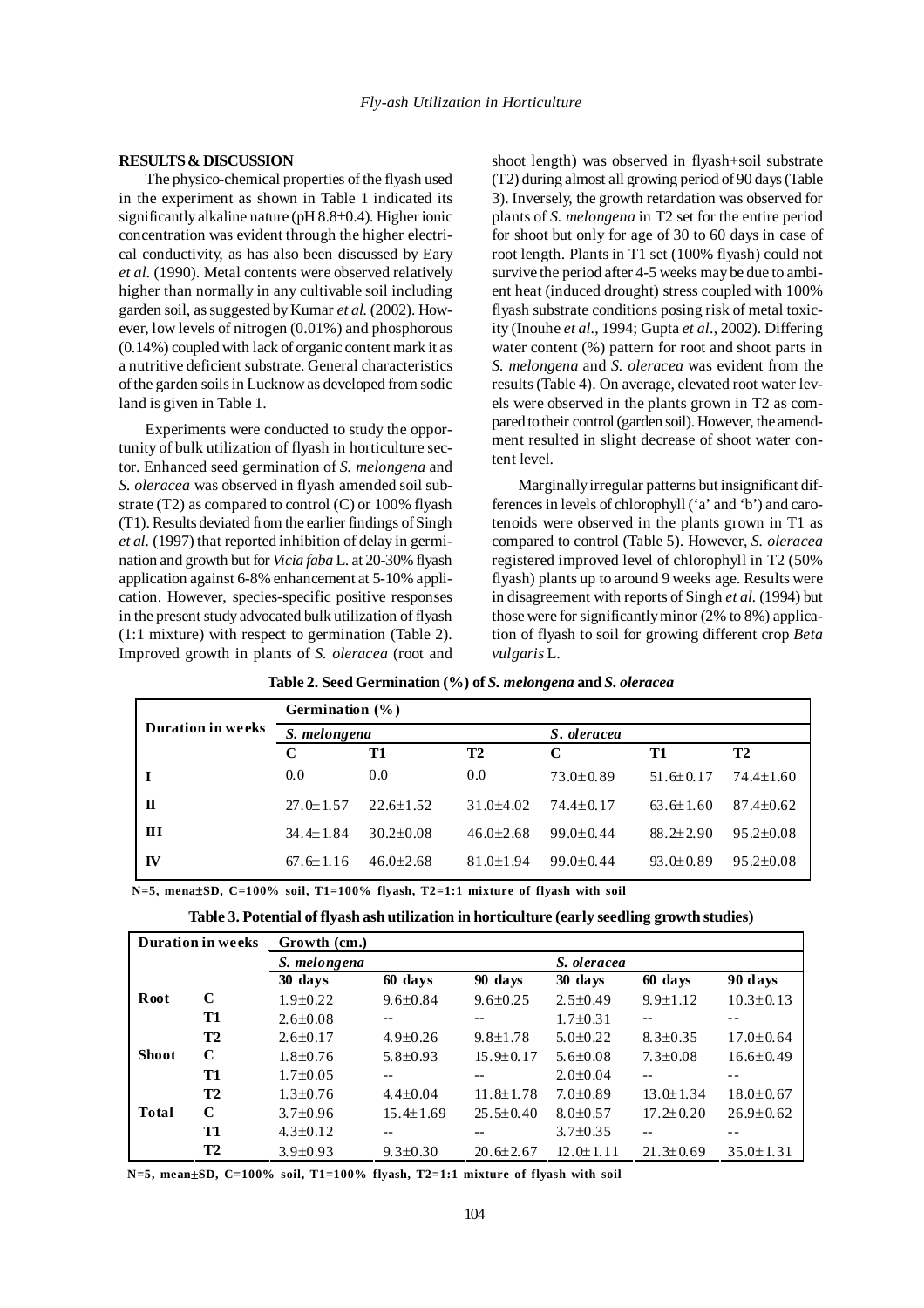#### **RESULTS & DISCUSSION**

The physico-chemical properties of the flyash used in the experiment as shown in Table 1 indicated its significantly alkaline nature (pH 8.8±0.4). Higher ionic concentration was evident through the higher electrical conductivity, as has also been discussed by Eary *et al.* (1990). Metal contents were observed relatively higher than normally in any cultivable soil including garden soil, as suggested by Kumar *et al.* (2002). However, low levels of nitrogen (0.01%) and phosphorous (0.14%) coupled with lack of organic content mark it as a nutritive deficient substrate. General characteristics of the garden soils in Lucknow as developed from sodic land is given in Table 1.

Experiments were conducted to study the opportunity of bulk utilization of flyash in horticulture sector. Enhanced seed germination of *S. melongena* and *S. oleracea* was observed in flyash amended soil substrate (T2) as compared to control (C) or 100% flyash (T1). Results deviated from the earlier findings of Singh *et al.* (1997) that reported inhibition of delay in germination and growth but for *Vicia faba* L. at 20-30% flyash application against 6-8% enhancement at 5-10% application. However, species-specific positive responses in the present study advocated bulk utilization of flyash (1:1 mixture) with respect to germination (Table 2). Improved growth in plants of *S. oleracea* (root and

shoot length) was observed in flyash+soil substrate (T2) during almost all growing period of 90 days (Table 3). Inversely, the growth retardation was observed for plants of *S. melongena* in T2 set for the entire period for shoot but only for age of 30 to 60 days in case of root length. Plants in T1 set (100% flyash) could not survive the period after 4-5 weeks may be due to ambient heat (induced drought) stress coupled with 100% flyash substrate conditions posing risk of metal toxicity (Inouhe *et al*., 1994; Gupta *et al*., 2002). Differing water content (%) pattern for root and shoot parts in *S. melongena* and *S. oleracea* was evident from the results (Table 4). On average, elevated root water levels were observed in the plants grown in T2 as compared to their control (garden soil). However, the amendment resulted in slight decrease of shoot water content level.

Marginally irregular patterns but insignificant differences in levels of chlorophyll ('a' and 'b') and carotenoids were observed in the plants grown in T1 as compared to control (Table 5). However, *S. oleracea* registered improved level of chlorophyll in T2 (50% flyash) plants up to around 9 weeks age. Results were in disagreement with reports of Singh *et al.* (1994) but those were for significantly minor (2% to 8%) application of flyash to soil for growing different crop *Beta vulgaris* L.

|                          | Germination (%) |                 |                 |                 |                 |                 |  |
|--------------------------|-----------------|-----------------|-----------------|-----------------|-----------------|-----------------|--|
| <b>Duration in weeks</b> | S. melongena    |                 |                 | S. oleracea     |                 |                 |  |
|                          | C               | <b>T1</b>       | <b>T2</b>       | C               | T1              | <b>T2</b>       |  |
|                          | 0.0             | 0.0             | 0.0             | $73.0 \pm 0.89$ | $51.6 \pm 0.17$ | $74.4 \pm 1.60$ |  |
| П                        | $27.0 \pm 1.57$ | $22.6 + 1.52$   | $31.0\pm4.02$   | $74.4+0.17$     | $63.6 \pm 1.60$ | $87.4 \pm 0.62$ |  |
| $\mathbf{H}$             | $34.4 \pm 1.84$ | $30.2 \pm 0.08$ | $46.0\pm2.68$   | $99.0 \pm 0.44$ | $88.2 \pm 2.90$ | $95.2 \pm 0.08$ |  |
| IV                       | $67.6 \pm 1.16$ | $46.0 \pm 2.68$ | $81.0 \pm 1.94$ | $99.0 + 0.44$   | $93.0 \pm 0.89$ | $95.2 \pm 0.08$ |  |

**Table 2. Seed Germination (%) of** *S. melongena* **and** *S. oleracea*

**N=5, mena**±**SD, C=100% soil, T1=100% flyash, T2=1:1 mixture of flyash with soil**

|              | <b>Duration in weeks</b> | Growth (cm.)   |                 |                 |                 |                 |                 |
|--------------|--------------------------|----------------|-----------------|-----------------|-----------------|-----------------|-----------------|
|              |                          | S. melongena   |                 |                 | S. oleracea     |                 |                 |
|              |                          | 30 days        | 60 days         | 90 days         | 30 days         | 60 days         | 90 days         |
| Root         | C                        | $1.9 \pm 0.22$ | $9.6 \pm 0.84$  | $9.6 \pm 0.25$  | $2.5 \pm 0.49$  | $9.9 \pm 1.12$  | $10.3 \pm 0.13$ |
|              | T1                       | $2.6 \pm 0.08$ |                 |                 | $1.7 \pm 0.31$  | $- -$           |                 |
|              | <b>T2</b>                | $2.6 \pm 0.17$ | $4.9 \pm 0.26$  | $9.8 \pm 1.78$  | $5.0 \pm 0.22$  | $8.3 \pm 0.35$  | $17.0 \pm 0.64$ |
| Shoot        | C                        | $1.8 \pm 0.76$ | $5.8 \pm 0.93$  | $15.9 \pm 0.17$ | $5.6 \pm 0.08$  | $7.3 \pm 0.08$  | $16.6 \pm 0.49$ |
|              | T1                       | $1.7 \pm 0.05$ |                 |                 | $2.0 \pm 0.04$  |                 |                 |
|              | <b>T2</b>                | $1.3 \pm 0.76$ | $4.4 \pm 0.04$  | $11.8 \pm 1.78$ | $7.0 \pm 0.89$  | $13.0 \pm 1.34$ | $18.0 \pm 0.67$ |
| <b>Total</b> | C                        | $3.7 \pm 0.96$ | $15.4 \pm 1.69$ | $25.5 \pm 0.40$ | $8.0 \pm 0.57$  | $17.2 \pm 0.20$ | $26.9 \pm 0.62$ |
|              | T1                       | $4.3 \pm 0.12$ | --              |                 | $3.7 \pm 0.35$  | --              |                 |
|              | <b>T2</b>                | $3.9 \pm 0.93$ | $9.3 \pm 0.30$  | $20.6 \pm 2.67$ | $12.0 \pm 1.11$ | $21.3 \pm 0.69$ | $35.0 \pm 1.31$ |

**Table 3. Potential of flyash ash utilization in horticulture (early seedling growth studies)**

**N=5, mean**±**SD, C=100% soil, T1=100% flyash, T2=1:1 mixture of flyash with soil**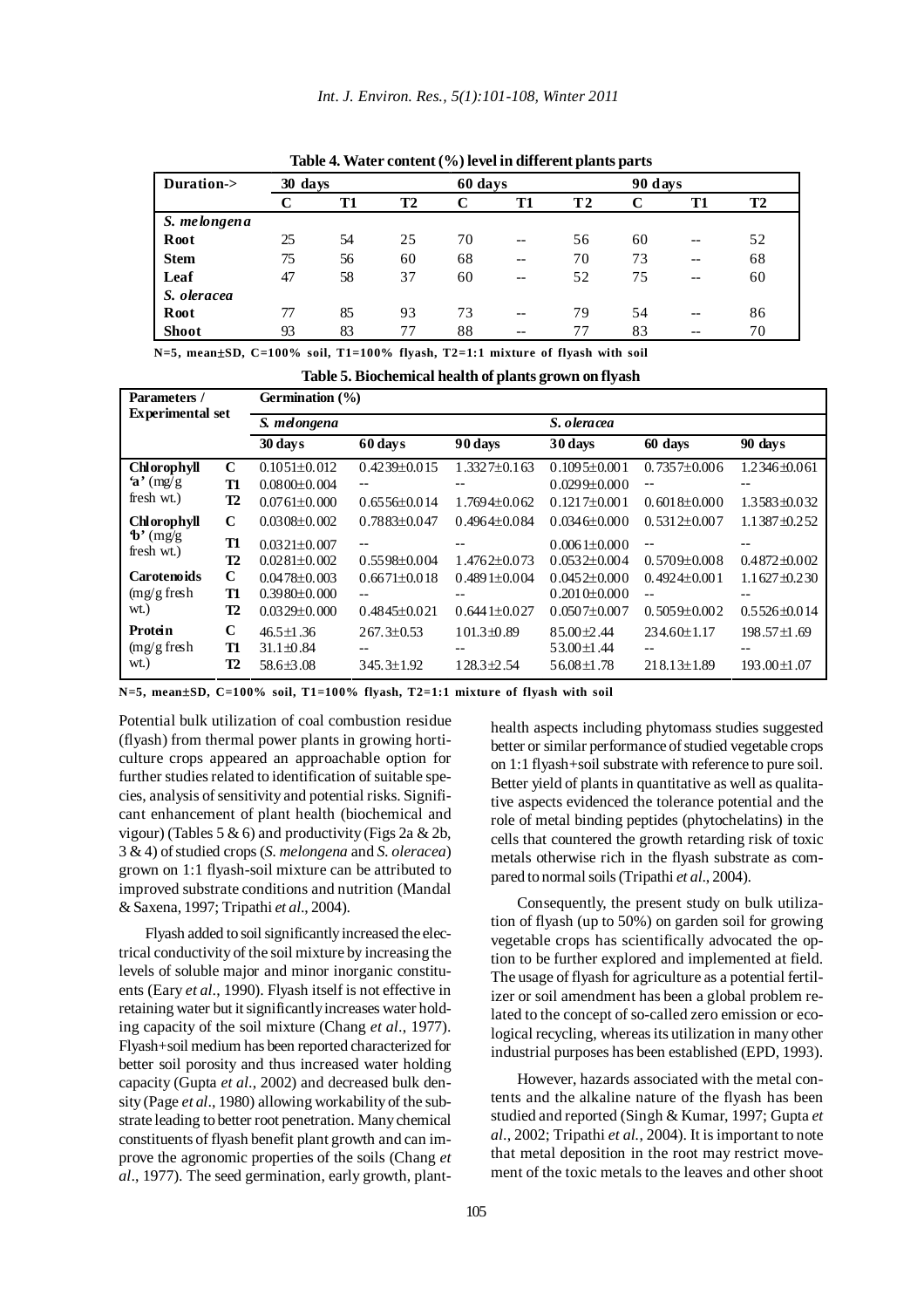| Duration->   | 30 days |           |           | 60 days |       |     | 90 days |           |    |  |
|--------------|---------|-----------|-----------|---------|-------|-----|---------|-----------|----|--|
|              |         | <b>T1</b> | <b>T2</b> |         | T1    | T 2 |         | <b>T1</b> | T2 |  |
| S. melongena |         |           |           |         |       |     |         |           |    |  |
| Root         | 25      | 54        | 25        | 70      | $- -$ | 56  | 60      | $- -$     | 52 |  |
| <b>Stem</b>  | 75      | 56        | 60        | 68      | $- -$ | 70  | 73      | $- -$     | 68 |  |
| Leaf         | 47      | 58        | 37        | 60      | $- -$ | 52  | 75      | $- -$     | 60 |  |
| S. oleracea  |         |           |           |         |       |     |         |           |    |  |
| Root         | 77      | 85        | 93        | 73      | $- -$ | 79  | 54      | $- -$     | 86 |  |
| <b>Shoot</b> | 93      | 83        | 77        | 88      | $- -$ | 77  | 83      | $- -$     | 70 |  |
|              |         |           |           |         |       |     |         |           |    |  |

**Table 4. Water content (%) level in different plants parts**

**N=5, mean**±**SD, C=100% soil, T1=100% flyash, T2=1:1 mixture of flyash with soil**

| Table 5. Biochemical health of plants grown on flyash |  |  |
|-------------------------------------------------------|--|--|
|                                                       |  |  |

| Parameters /<br><b>Experimental set</b> |                                | Germination $(\% )$                                   |                                      |                                      |                                                    |                                        |                            |  |
|-----------------------------------------|--------------------------------|-------------------------------------------------------|--------------------------------------|--------------------------------------|----------------------------------------------------|----------------------------------------|----------------------------|--|
|                                         |                                | S. melongena                                          |                                      |                                      | S. oleracea                                        |                                        |                            |  |
|                                         |                                | 30 days                                               | 60 days                              | 90 days                              | 30 days                                            | 60 days                                | 90 days                    |  |
| <b>Chlorophyll</b>                      | $\mathbf C$                    | $0.1051 \pm 0.012$                                    | $0.4239 \pm 0.015$                   | $1.3327 \pm 0.163$                   | $0.1095 \pm 0.001$                                 | $0.7357 \pm 0.006$                     | 1.2346±0.061               |  |
| 'a' $(mg/g)$                            | T <sub>1</sub>                 | $0.0800\pm0.004$                                      | $- -$                                | --                                   | $0.0299 \pm 0.000$                                 | $-$                                    | --                         |  |
| fresh wt.)                              | <b>T2</b>                      | $0.0761 \pm 0.000$                                    | $0.6556\pm0.014$                     | $1.7694\pm0.062$                     | $0.1217\pm0.001$                                   | $0.6018 \pm 0.000$                     | 1.3583±0.032               |  |
| <b>Chlorophyll</b>                      | C                              | $0.0308\pm0.002$                                      | $0.7883\pm0.047$                     | $0.4964\pm0.084$                     | $0.0346 \pm 0.000$                                 | $0.5312 \pm 0.007$                     | $1.1387 + 0.252$           |  |
| $\mathbf{b}'$ (mg/g)<br>fresh wt.)      | T1                             | $0.0321 \pm 0.007$                                    |                                      |                                      | $0.0061 \pm 0.000$                                 | $-$                                    |                            |  |
|                                         | T2                             | $0.0281 \pm 0.002$                                    | $0.5598 \pm 0.004$                   | $1.4762 \pm 0.073$                   | $0.0532 \pm 0.004$                                 | $0.5709 \pm 0.008$                     | $0.4872 \pm 0.002$         |  |
| <b>Carotenoids</b>                      | $\mathbf C$                    | $0.0478 \pm 0.003$                                    | $0.6671\pm0.018$                     | $0.4891 \pm 0.004$                   | $0.0452\pm0.000$                                   | $0.4924 \pm 0.001$                     | $1.1627 \pm 0.230$         |  |
| $(mg/g$ fresh                           | T1                             | $0.3980 \pm 0.000$                                    |                                      |                                      | $0.2010 \pm 0.000$                                 |                                        |                            |  |
| wt.)                                    | T2                             | $0.0329 \pm 0.000$                                    | $0.4845 \pm 0.021$                   | $0.6441 \pm 0.027$                   | $0.0507 \pm 0.007$                                 | $0.5059 \pm 0.002$                     | $0.5526 \pm 0.014$         |  |
| Protein<br>$(mg/g$ fresh<br>wt.)        | $\mathbf C$<br>T1<br><b>T2</b> | $46.5 \pm 1.36$<br>$31.1 \pm 0.84$<br>$58.6 \pm 3.08$ | $267.3 \pm 0.53$<br>$345.3 \pm 1.92$ | $101.3 \pm 0.89$<br>$128.3 \pm 2.54$ | $85.00 \pm 2.44$<br>53.00±1.44<br>$56.08 \pm 1.78$ | $234.60 \pm 1.17$<br>$218.13 \pm 1.89$ | 198.57±1.69<br>193.00±1.07 |  |
|                                         |                                |                                                       |                                      |                                      |                                                    |                                        |                            |  |

**N=5, mean**±**SD, C=100% soil, T1=100% flyash, T2=1:1 mixture of flyash with soil**

Potential bulk utilization of coal combustion residue (flyash) from thermal power plants in growing horticulture crops appeared an approachable option for further studies related to identification of suitable species, analysis of sensitivity and potential risks. Significant enhancement of plant health (biochemical and vigour) (Tables 5 & 6) and productivity (Figs 2a & 2b, 3 & 4) of studied crops (*S. melongena* and *S. oleracea*) grown on 1:1 flyash-soil mixture can be attributed to improved substrate conditions and nutrition (Mandal & Saxena, 1997; Tripathi *et al*., 2004).

Flyash added to soil significantly increased the electrical conductivity of the soil mixture by increasing the levels of soluble major and minor inorganic constituents (Eary *et al*., 1990). Flyash itself is not effective in retaining water but it significantly increases water holding capacity of the soil mixture (Chang *et al*., 1977). Flyash+soil medium has been reported characterized for better soil porosity and thus increased water holding capacity (Gupta *et al*., 2002) and decreased bulk density (Page *et al*., 1980) allowing workability of the substrate leading to better root penetration. Many chemical constituents of flyash benefit plant growth and can improve the agronomic properties of the soils (Chang *et al*., 1977). The seed germination, early growth, planthealth aspects including phytomass studies suggested better or similar performance of studied vegetable crops on 1:1 flyash+soil substrate with reference to pure soil. Better yield of plants in quantitative as well as qualitative aspects evidenced the tolerance potential and the role of metal binding peptides (phytochelatins) in the cells that countered the growth retarding risk of toxic metals otherwise rich in the flyash substrate as compared to normal soils (Tripathi *et al*., 2004).

Consequently, the present study on bulk utilization of flyash (up to 50%) on garden soil for growing vegetable crops has scientifically advocated the option to be further explored and implemented at field. The usage of flyash for agriculture as a potential fertilizer or soil amendment has been a global problem related to the concept of so-called zero emission or ecological recycling, whereas its utilization in many other industrial purposes has been established (EPD, 1993).

However, hazards associated with the metal contents and the alkaline nature of the flyash has been studied and reported (Singh & Kumar, 1997; Gupta *et al*., 2002; Tripathi *et al.*, 2004). It is important to note that metal deposition in the root may restrict movement of the toxic metals to the leaves and other shoot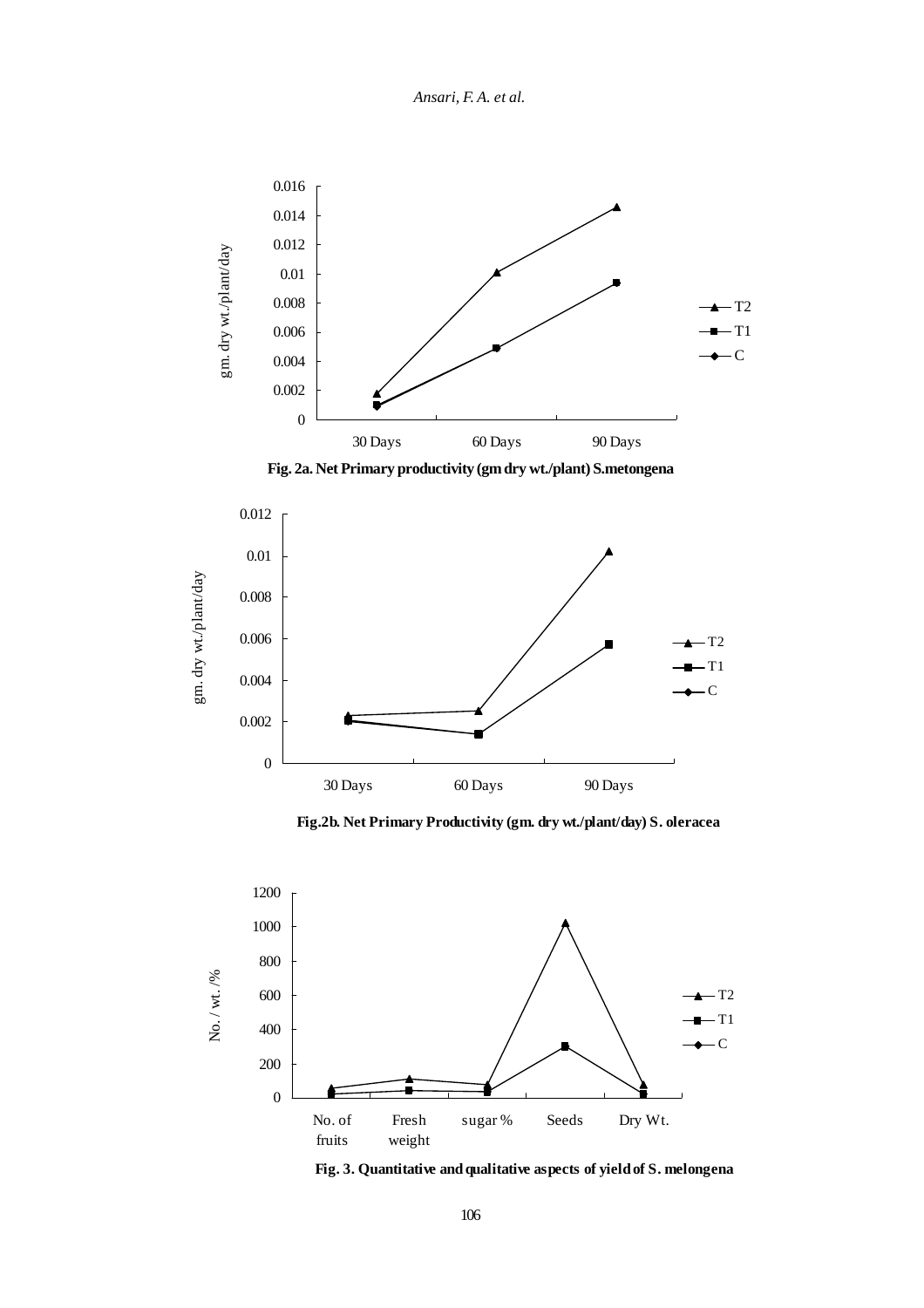*Ansari, F. A. et al.*



**Fig. 2a. Net Primary productivity (gm dry wt./plant) S.metongena**



**Fig.2b. Net Primary Productivity (gm. dry wt./plant/day) S. oleracea**



**Fig. 3. Quantitative and qualitative aspects of yield of S. melongena**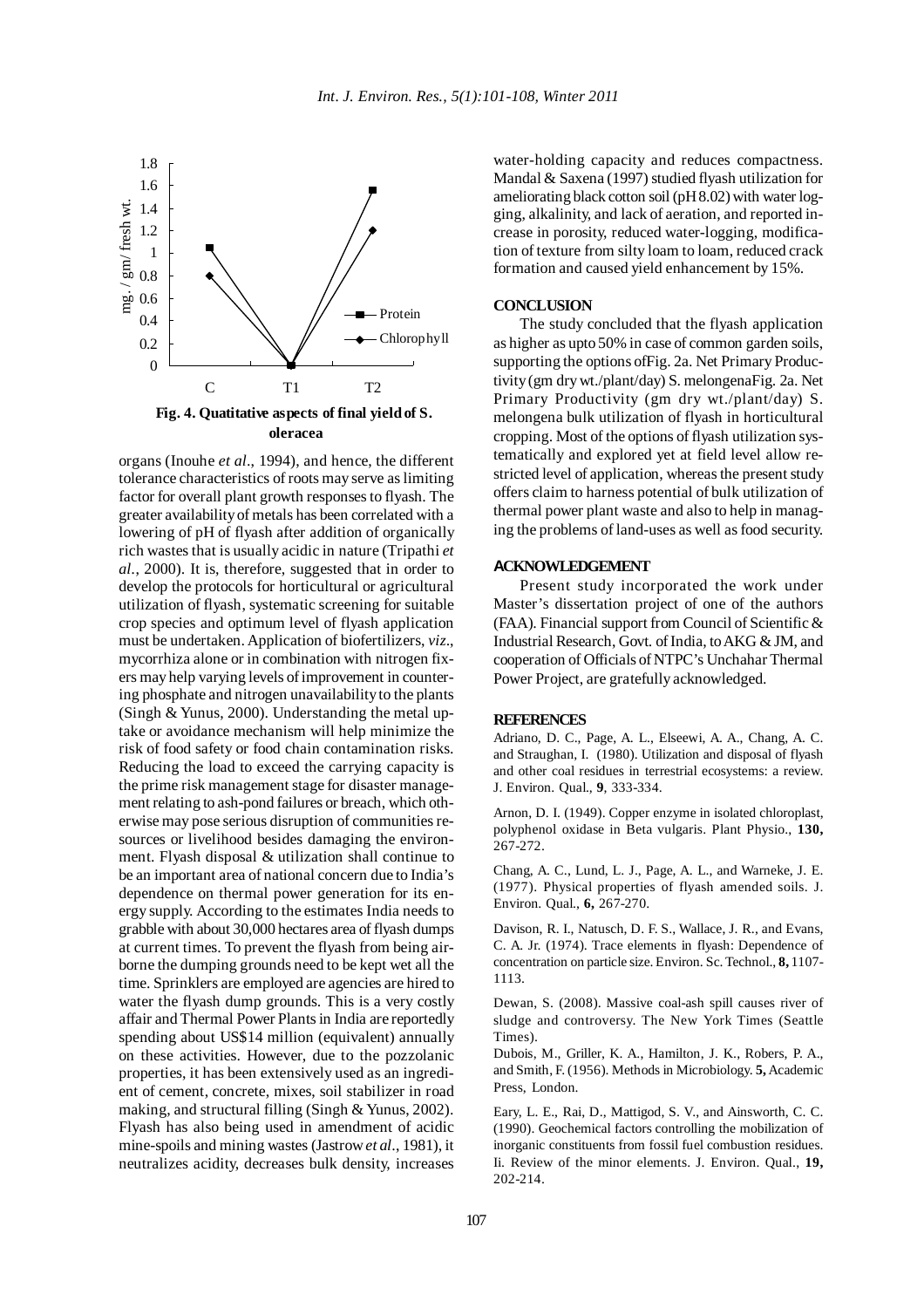

organs (Inouhe *et al*., 1994), and hence, the different tolerance characteristics of roots may serve as limiting factor for overall plant growth responses to flyash. The greater availability of metals has been correlated with a lowering of pH of flyash after addition of organically rich wastes that is usually acidic in nature (Tripathi *et al.*, 2000). It is, therefore, suggested that in order to develop the protocols for horticultural or agricultural utilization of flyash, systematic screening for suitable crop species and optimum level of flyash application must be undertaken. Application of biofertilizers, *viz*., mycorrhiza alone or in combination with nitrogen fixers may help varying levels of improvement in countering phosphate and nitrogen unavailability to the plants (Singh & Yunus, 2000). Understanding the metal uptake or avoidance mechanism will help minimize the risk of food safety or food chain contamination risks. Reducing the load to exceed the carrying capacity is the prime risk management stage for disaster management relating to ash-pond failures or breach, which otherwise may pose serious disruption of communities resources or livelihood besides damaging the environment. Flyash disposal & utilization shall continue to be an important area of national concern due to India's dependence on thermal power generation for its energy supply. According to the estimates India needs to grabble with about 30,000 hectares area of flyash dumps at current times. To prevent the flyash from being airborne the dumping grounds need to be kept wet all the time. Sprinklers are employed are agencies are hired to water the flyash dump grounds. This is a very costly affair and Thermal Power Plants in India are reportedly spending about US\$14 million (equivalent) annually on these activities. However, due to the pozzolanic properties, it has been extensively used as an ingredient of cement, concrete, mixes, soil stabilizer in road making, and structural filling (Singh & Yunus, 2002). Flyash has also being used in amendment of acidic mine-spoils and mining wastes (Jastrow *et al*., 1981), it neutralizes acidity, decreases bulk density, increases water-holding capacity and reduces compactness. Mandal & Saxena (1997) studied flyash utilization for ameliorating black cotton soil (pH 8.02) with water logging, alkalinity, and lack of aeration, and reported increase in porosity, reduced water-logging, modification of texture from silty loam to loam, reduced crack formation and caused yield enhancement by 15%.

## **CONCLUSION**

The study concluded that the flyash application as higher as upto 50% in case of common garden soils, supporting the options ofFig. 2a. Net Primary Productivity (gm dry wt./plant/day) S. melongenaFig. 2a. Net Primary Productivity (gm dry wt./plant/day) S. melongena bulk utilization of flyash in horticultural cropping. Most of the options of flyash utilization systematically and explored yet at field level allow restricted level of application, whereas the present study offers claim to harness potential of bulk utilization of thermal power plant waste and also to help in managing the problems of land-uses as well as food security.

#### **ACKNOWLEDGEMENT**

Present study incorporated the work under Master's dissertation project of one of the authors (FAA). Financial support from Council of Scientific & Industrial Research, Govt. of India, to AKG & JM, and cooperation of Officials of NTPC's Unchahar Thermal Power Project, are gratefully acknowledged.

## **REFERENCES**

Adriano, D. C., Page, A. L., Elseewi, A. A., Chang, A. C. and Straughan, I. (1980). Utilization and disposal of flyash and other coal residues in terrestrial ecosystems: a review. J. Environ. Qual., **9**, 333-334.

Arnon, D. I. (1949). Copper enzyme in isolated chloroplast, polyphenol oxidase in Beta vulgaris. Plant Physio., **130,** 267-272.

Chang, A. C., Lund, L. J., Page, A. L., and Warneke, J. E. (1977). Physical properties of flyash amended soils. J. Environ. Qual., **6,** 267-270.

Davison, R. I., Natusch, D. F. S., Wallace, J. R., and Evans, C. A. Jr. (1974). Trace elements in flyash: Dependence of concentration on particle size. Environ. Sc. Technol., **8,** 1107- 1113.

Dewan, S. (2008). Massive coal-ash spill causes river of sludge and controversy. The New York Times (Seattle Times).

Dubois, M., Griller, K. A., Hamilton, J. K., Robers, P. A., and Smith, F. (1956). Methods in Microbiology. **5,** Academic Press, London.

Eary, L. E., Rai, D., Mattigod, S. V., and Ainsworth, C. C. (1990). Geochemical factors controlling the mobilization of inorganic constituents from fossil fuel combustion residues. Ii. Review of the minor elements. J. Environ. Qual., **19,** 202-214.